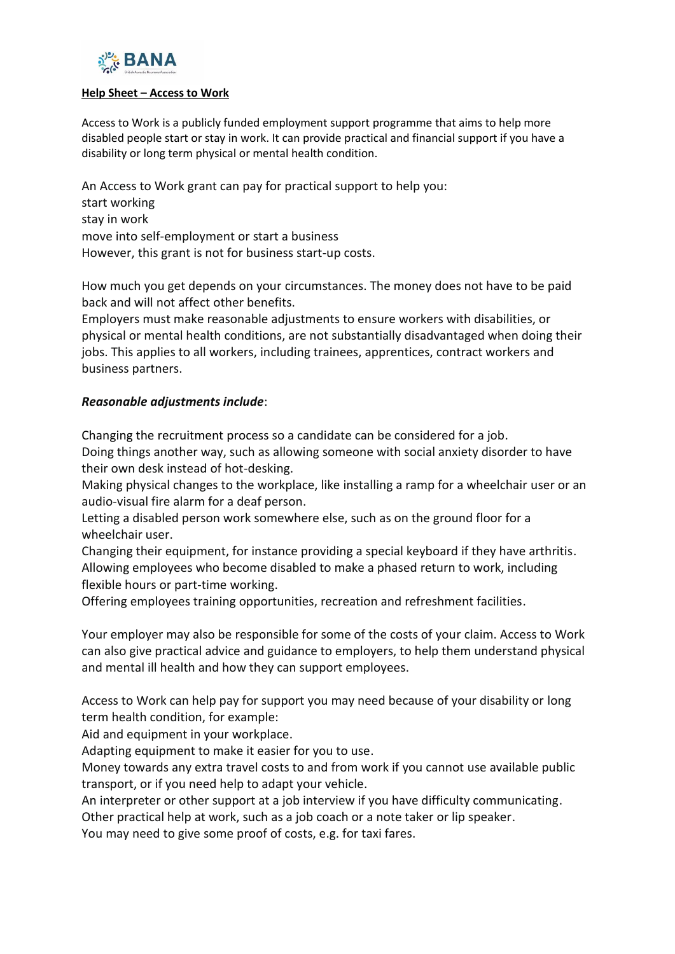

#### **Help Sheet – Access to Work**

Access to Work is a publicly funded employment support programme that aims to help more disabled people start or stay in work. It can provide practical and financial support if you have a disability or long term physical or mental health condition.

An Access to Work grant can pay for practical support to help you: start working stay in work move into self-employment or start a business However, this grant is not for business start-up costs.

How much you get depends on your circumstances. The money does not have to be paid back and will not affect other benefits.

Employers must make reasonable adjustments to ensure workers with disabilities, or physical or mental health conditions, are not substantially disadvantaged when doing their jobs. This applies to all workers, including trainees, apprentices, contract workers and business partners.

#### *Reasonable adjustments include*:

Changing the [recruitment](https://www.gov.uk/recruitment-disabled-people/reasonable-adjustments) process so a candidate can be considered for a job. Doing things another way, such as allowing someone with social anxiety disorder to have their own desk instead of hot-desking.

Making physical changes to the workplace, like installing a ramp for a wheelchair user or an audio-visual fire alarm for a deaf person.

Letting a disabled person work somewhere else, such as on the ground floor for a wheelchair user.

Changing their equipment, for instance providing a special keyboard if they have arthritis. Allowing employees who become disabled to make a phased return to work, including flexible hours or part-time working.

Offering employees training opportunities, recreation and refreshment facilities.

Your employer may also be responsible for some of the costs of your claim. Access to Work can also give practical advice and guidance to employers, to help them understand physical and mental ill health and how they can support employees.

Access to Work can help pay for support you may need because of your disability or long term health condition, for example:

Aid and equipment in your workplace.

Adapting equipment to make it easier for you to use.

Money towards any extra travel costs to and from work if you cannot use available public transport, or if you need help to adapt your vehicle.

An interpreter or other support at a job interview if you have difficulty communicating.

Other practical help at work, such as a job coach or a note taker or lip speaker.

You may need to give some proof of costs, e.g. for taxi fares.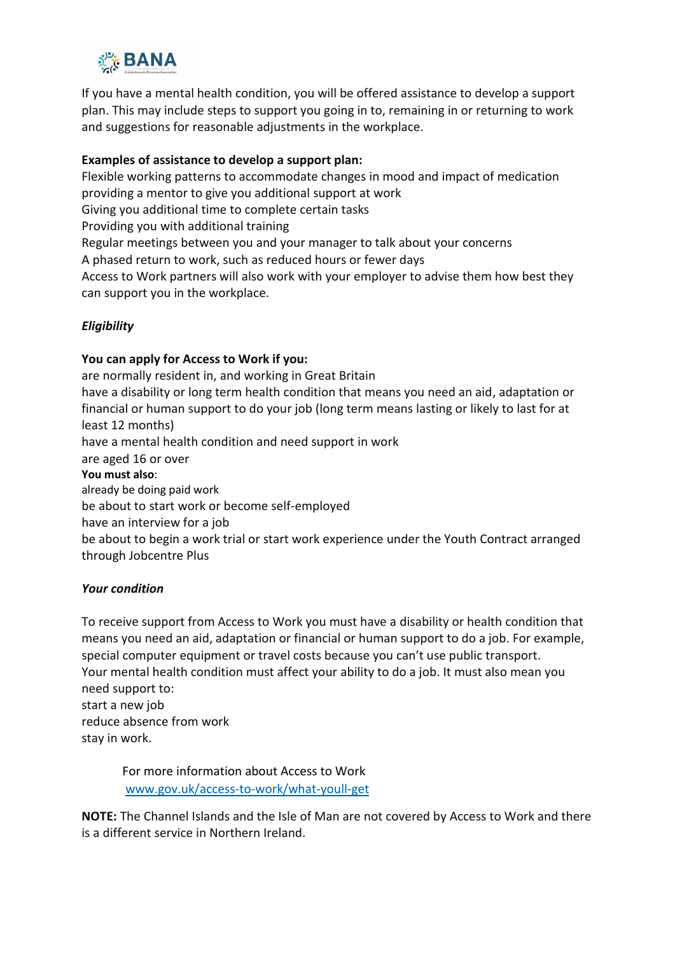

If you have a mental health condition, you will be offered assistance to develop a support plan. This may include steps to support you going in to, remaining in or returning to work and suggestions for reasonable adjustments in the workplace.

## **Examples of assistance to develop a support plan:**

Flexible working patterns to accommodate changes in mood and impact of medication providing a mentor to give you additional support at work

Giving you additional time to complete certain tasks

Providing you with additional training

Regular meetings between you and your manager to talk about your concerns

A phased return to work, such as reduced hours or fewer days

Access to Work partners will also work with your employer to advise them how best they can support you in the workplace.

# *Eligibility*

### **You can apply for Access to Work if you:**

are normally resident in, and working in Great Britain have a disability or long term health condition that means you need an aid, adaptation or financial or human support to do your job (long term means lasting or likely to last for at least 12 months) have a mental health condition and need support in work are aged 16 or over **You must also**: already be doing paid work be about to start work or become self-employed have an interview for a job be about to begin a work trial or start work experience under the Youth Contract arranged through Jobcentre Plus

### *Your condition*

To receive support from Access to Work you must have a disability or health condition that means you need an aid, adaptation or financial or human support to do a job. For example, special computer equipment or travel costs because you can't use public transport. Your mental health condition must affect your ability to do a job. It must also mean you need support to: start a new job reduce absence from work stay in work.

For more information about Access to Work [www.gov.uk/access-to-work/what-youll-get](https://www.gov.uk/access-to-work/what-youll-get)

**NOTE:** The Channel Islands and the Isle of Man are not covered by Access to Work and there is a different service in Northern Ireland.